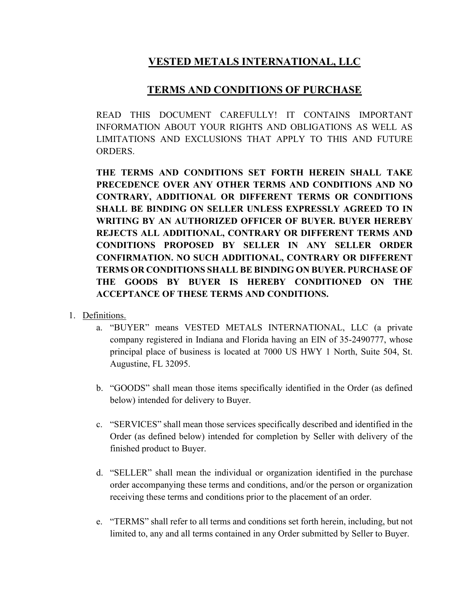## **VESTED METALS INTERNATIONAL, LLC**

## **TERMS AND CONDITIONS OF PURCHASE**

READ THIS DOCUMENT CAREFULLY! IT CONTAINS IMPORTANT INFORMATION ABOUT YOUR RIGHTS AND OBLIGATIONS AS WELL AS LIMITATIONS AND EXCLUSIONS THAT APPLY TO THIS AND FUTURE ORDERS.

**THE TERMS AND CONDITIONS SET FORTH HEREIN SHALL TAKE PRECEDENCE OVER ANY OTHER TERMS AND CONDITIONS AND NO CONTRARY, ADDITIONAL OR DIFFERENT TERMS OR CONDITIONS SHALL BE BINDING ON SELLER UNLESS EXPRESSLY AGREED TO IN WRITING BY AN AUTHORIZED OFFICER OF BUYER. BUYER HEREBY REJECTS ALL ADDITIONAL, CONTRARY OR DIFFERENT TERMS AND CONDITIONS PROPOSED BY SELLER IN ANY SELLER ORDER CONFIRMATION. NO SUCH ADDITIONAL, CONTRARY OR DIFFERENT TERMS OR CONDITIONS SHALL BE BINDING ON BUYER. PURCHASE OF THE GOODS BY BUYER IS HEREBY CONDITIONED ON THE ACCEPTANCE OF THESE TERMS AND CONDITIONS.** 

- 1. Definitions.
	- a. "BUYER" means VESTED METALS INTERNATIONAL, LLC (a private company registered in Indiana and Florida having an EIN of 35-2490777, whose principal place of business is located at 7000 US HWY 1 North, Suite 504, St. Augustine, FL 32095.
	- b. "GOODS" shall mean those items specifically identified in the Order (as defined below) intended for delivery to Buyer.
	- c. "SERVICES" shall mean those services specifically described and identified in the Order (as defined below) intended for completion by Seller with delivery of the finished product to Buyer.
	- d. "SELLER" shall mean the individual or organization identified in the purchase order accompanying these terms and conditions, and/or the person or organization receiving these terms and conditions prior to the placement of an order.
	- e. "TERMS" shall refer to all terms and conditions set forth herein, including, but not limited to, any and all terms contained in any Order submitted by Seller to Buyer.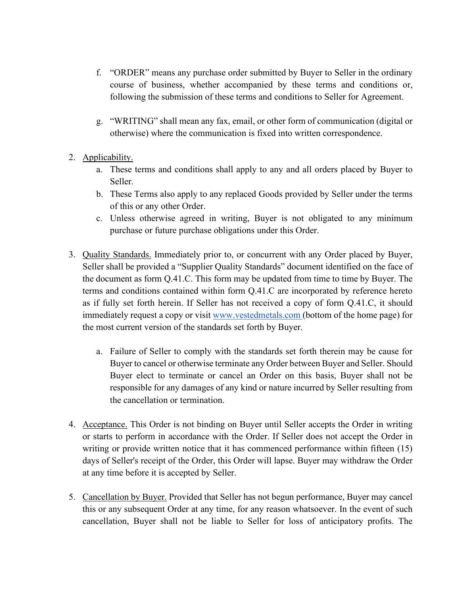- f. "ORDER" means any purchase order submitted by Buyer to Seller in the ordinary course of business, whether accompanied by these terms and conditions or, following the submission of these terms and conditions to Seller for Agreement.
- g. "WRITING" shall mean any fax, email, or other form of communication (digital or otherwise) where the communication is fixed into written correspondence.
- 2. Applicability.
	- a. These terms and conditions shall apply to any and all orders placed by Buyer to Seller.
	- b. These Terms also apply to any replaced Goods provided by Seller under the terms of this or any other Order.
	- c. Unless otherwise agreed in writing, Buyer is not obligated to any minimum purchase or future purchase obligations under this Order.
- 3. Quality Standards. Immediately prior to, or concurrent with any Order placed by Buyer, Seller shall be provided a "Supplier Quality Standards" document identified on the face of the document as form Q.41.C. This form may be updated from time to time by Buyer. The terms and conditions contained within form Q.41.C are incorporated by reference hereto as if fully set forth herein. If Seller has not received a copy of form Q.41.C, it should immediately request a copy or visit [www.vestedmetals.com](http://www.vestedmetals.com/q41c) [\(bottom of the home page\)](http://www.vestedmetals.com/q41c) for the most current version of the standards set forth by Buyer.
	- a. Failure of Seller to comply with the standards set forth therein may be cause for Buyer to cancel or otherwise terminate any Order between Buyer and Seller. Should Buyer elect to terminate or cancel an Order on this basis, Buyer shall not be responsible for any damages of any kind or nature incurred by Seller resulting from the cancellation or termination.
- 4. Acceptance. This Order is not binding on Buyer until Seller accepts the Order in writing or starts to perform in accordance with the Order. If Seller does not accept the Order in writing or provide written notice that it has commenced performance within fifteen (15) days of Seller's receipt of the Order, this Order will lapse. Buyer may withdraw the Order at any time before it is accepted by Seller.
- 5. Cancellation by Buyer. Provided that Seller has not begun performance, Buyer may cancel this or any subsequent Order at any time, for any reason whatsoever. In the event of such cancellation, Buyer shall not be liable to Seller for loss of anticipatory profits. The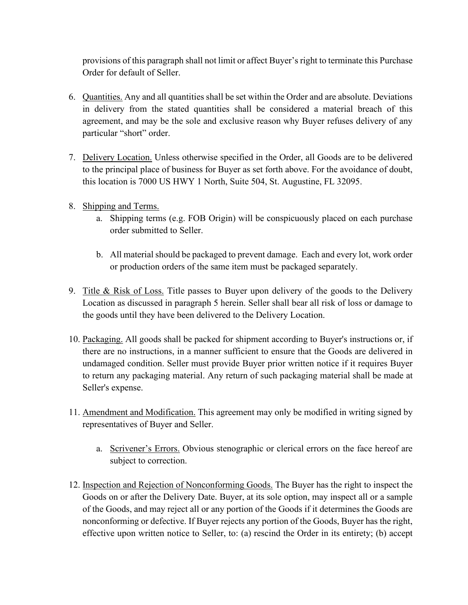provisions of this paragraph shall not limit or affect Buyer's right to terminate this Purchase Order for default of Seller.

- 6. Quantities. Any and all quantities shall be set within the Order and are absolute. Deviations in delivery from the stated quantities shall be considered a material breach of this agreement, and may be the sole and exclusive reason why Buyer refuses delivery of any particular "short" order.
- 7. Delivery Location. Unless otherwise specified in the Order, all Goods are to be delivered to the principal place of business for Buyer as set forth above. For the avoidance of doubt, this location is 7000 US HWY 1 North, Suite 504, St. Augustine, FL 32095.
- 8. Shipping and Terms.
	- a. Shipping terms (e.g. FOB Origin) will be conspicuously placed on each purchase order submitted to Seller.
	- b. All material should be packaged to prevent damage. Each and every lot, work order or production orders of the same item must be packaged separately.
- 9. Title & Risk of Loss. Title passes to Buyer upon delivery of the goods to the Delivery Location as discussed in paragraph 5 herein. Seller shall bear all risk of loss or damage to the goods until they have been delivered to the Delivery Location.
- 10. Packaging. All goods shall be packed for shipment according to Buyer's instructions or, if there are no instructions, in a manner sufficient to ensure that the Goods are delivered in undamaged condition. Seller must provide Buyer prior written notice if it requires Buyer to return any packaging material. Any return of such packaging material shall be made at Seller's expense.
- 11. Amendment and Modification. This agreement may only be modified in writing signed by representatives of Buyer and Seller.
	- a. Scrivener's Errors. Obvious stenographic or clerical errors on the face hereof are subject to correction.
- 12. Inspection and Rejection of Nonconforming Goods. The Buyer has the right to inspect the Goods on or after the Delivery Date. Buyer, at its sole option, may inspect all or a sample of the Goods, and may reject all or any portion of the Goods if it determines the Goods are nonconforming or defective. If Buyer rejects any portion of the Goods, Buyer has the right, effective upon written notice to Seller, to: (a) rescind the Order in its entirety; (b) accept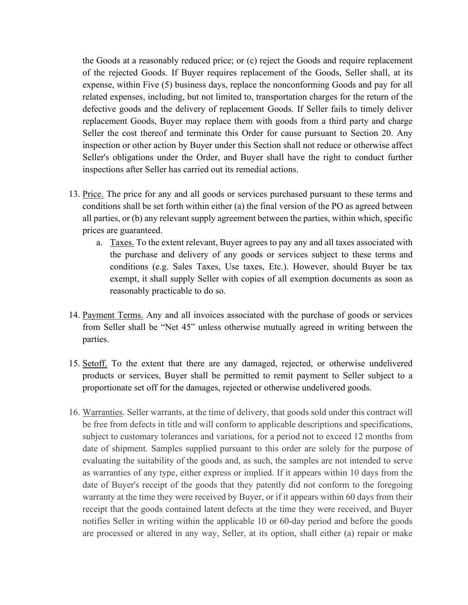the Goods at a reasonably reduced price; or (c) reject the Goods and require replacement of the rejected Goods. If Buyer requires replacement of the Goods, Seller shall, at its expense, within Five (5) business days, replace the nonconforming Goods and pay for all related expenses, including, but not limited to, transportation charges for the return of the defective goods and the delivery of replacement Goods. If Seller fails to timely deliver replacement Goods, Buyer may replace them with goods from a third party and charge Seller the cost thereof and terminate this Order for cause pursuant to Section 20. Any inspection or other action by Buyer under this Section shall not reduce or otherwise affect Seller's obligations under the Order, and Buyer shall have the right to conduct further inspections after Seller has carried out its remedial actions.

- 13. Price. The price for any and all goods or services purchased pursuant to these terms and conditions shall be set forth within either (a) the final version of the PO as agreed between all parties, or (b) any relevant supply agreement between the parties, within which, specific prices are guaranteed.
	- a. Taxes. To the extent relevant, Buyer agrees to pay any and all taxes associated with the purchase and delivery of any goods or services subject to these terms and conditions (e.g. Sales Taxes, Use taxes, Etc.). However, should Buyer be tax exempt, it shall supply Seller with copies of all exemption documents as soon as reasonably practicable to do so.
- 14. Payment Terms. Any and all invoices associated with the purchase of goods or services from Seller shall be "Net 45" unless otherwise mutually agreed in writing between the parties.
- 15. Setoff. To the extent that there are any damaged, rejected, or otherwise undelivered products or services, Buyer shall be permitted to remit payment to Seller subject to a proportionate set off for the damages, rejected or otherwise undelivered goods.
- 16. Warranties. Seller warrants, at the time of delivery, that goods sold under this contract will be free from defects in title and will conform to applicable descriptions and specifications, subject to customary tolerances and variations, for a period not to exceed 12 months from date of shipment. Samples supplied pursuant to this order are solely for the purpose of evaluating the suitability of the goods and, as such, the samples are not intended to serve as warranties of any type, either express or implied. If it appears within 10 days from the date of Buyer's receipt of the goods that they patently did not conform to the foregoing warranty at the time they were received by Buyer, or if it appears within 60 days from their receipt that the goods contained latent defects at the time they were received, and Buyer notifies Seller in writing within the applicable 10 or 60-day period and before the goods are processed or altered in any way, Seller, at its option, shall either (a) repair or make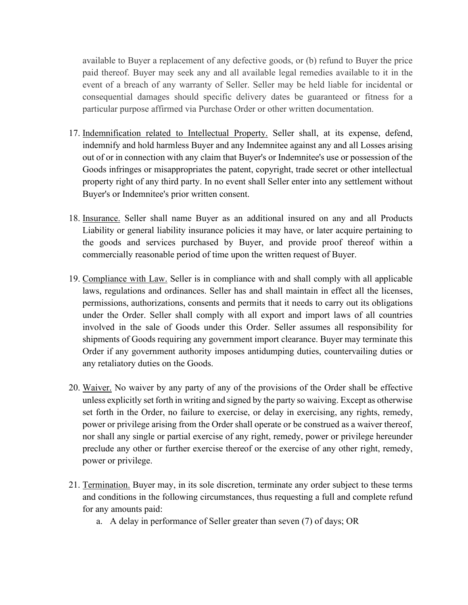available to Buyer a replacement of any defective goods, or (b) refund to Buyer the price paid thereof. Buyer may seek any and all available legal remedies available to it in the event of a breach of any warranty of Seller. Seller may be held liable for incidental or consequential damages should specific delivery dates be guaranteed or fitness for a particular purpose affirmed via Purchase Order or other written documentation.

- 17. Indemnification related to Intellectual Property. Seller shall, at its expense, defend, indemnify and hold harmless Buyer and any Indemnitee against any and all Losses arising out of or in connection with any claim that Buyer's or Indemnitee's use or possession of the Goods infringes or misappropriates the patent, copyright, trade secret or other intellectual property right of any third party. In no event shall Seller enter into any settlement without Buyer's or Indemnitee's prior written consent.
- 18. Insurance. Seller shall name Buyer as an additional insured on any and all Products Liability or general liability insurance policies it may have, or later acquire pertaining to the goods and services purchased by Buyer, and provide proof thereof within a commercially reasonable period of time upon the written request of Buyer.
- 19. Compliance with Law. Seller is in compliance with and shall comply with all applicable laws, regulations and ordinances. Seller has and shall maintain in effect all the licenses, permissions, authorizations, consents and permits that it needs to carry out its obligations under the Order. Seller shall comply with all export and import laws of all countries involved in the sale of Goods under this Order. Seller assumes all responsibility for shipments of Goods requiring any government import clearance. Buyer may terminate this Order if any government authority imposes antidumping duties, countervailing duties or any retaliatory duties on the Goods.
- 20. Waiver. No waiver by any party of any of the provisions of the Order shall be effective unless explicitly set forth in writing and signed by the party so waiving. Except as otherwise set forth in the Order, no failure to exercise, or delay in exercising, any rights, remedy, power or privilege arising from the Order shall operate or be construed as a waiver thereof, nor shall any single or partial exercise of any right, remedy, power or privilege hereunder preclude any other or further exercise thereof or the exercise of any other right, remedy, power or privilege.
- 21. Termination. Buyer may, in its sole discretion, terminate any order subject to these terms and conditions in the following circumstances, thus requesting a full and complete refund for any amounts paid:
	- a. A delay in performance of Seller greater than seven (7) of days; OR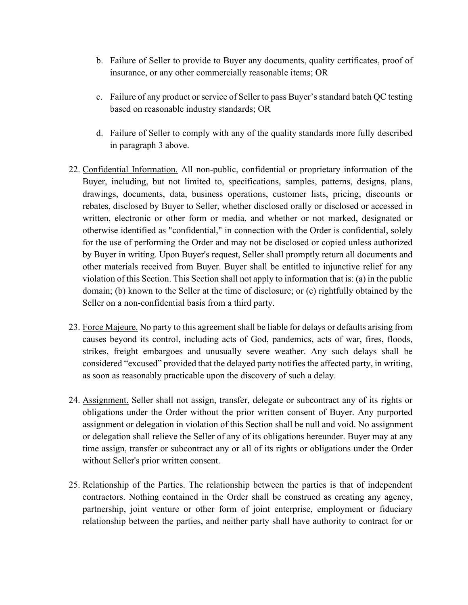- b. Failure of Seller to provide to Buyer any documents, quality certificates, proof of insurance, or any other commercially reasonable items; OR
- c. Failure of any product or service of Seller to pass Buyer's standard batch QC testing based on reasonable industry standards; OR
- d. Failure of Seller to comply with any of the quality standards more fully described in paragraph 3 above.
- 22. Confidential Information. All non-public, confidential or proprietary information of the Buyer, including, but not limited to, specifications, samples, patterns, designs, plans, drawings, documents, data, business operations, customer lists, pricing, discounts or rebates, disclosed by Buyer to Seller, whether disclosed orally or disclosed or accessed in written, electronic or other form or media, and whether or not marked, designated or otherwise identified as "confidential," in connection with the Order is confidential, solely for the use of performing the Order and may not be disclosed or copied unless authorized by Buyer in writing. Upon Buyer's request, Seller shall promptly return all documents and other materials received from Buyer. Buyer shall be entitled to injunctive relief for any violation of this Section. This Section shall not apply to information that is: (a) in the public domain; (b) known to the Seller at the time of disclosure; or (c) rightfully obtained by the Seller on a non-confidential basis from a third party.
- 23. Force Majeure. No party to this agreement shall be liable for delays or defaults arising from causes beyond its control, including acts of God, pandemics, acts of war, fires, floods, strikes, freight embargoes and unusually severe weather. Any such delays shall be considered "excused" provided that the delayed party notifies the affected party, in writing, as soon as reasonably practicable upon the discovery of such a delay.
- 24. Assignment. Seller shall not assign, transfer, delegate or subcontract any of its rights or obligations under the Order without the prior written consent of Buyer. Any purported assignment or delegation in violation of this Section shall be null and void. No assignment or delegation shall relieve the Seller of any of its obligations hereunder. Buyer may at any time assign, transfer or subcontract any or all of its rights or obligations under the Order without Seller's prior written consent.
- 25. Relationship of the Parties. The relationship between the parties is that of independent contractors. Nothing contained in the Order shall be construed as creating any agency, partnership, joint venture or other form of joint enterprise, employment or fiduciary relationship between the parties, and neither party shall have authority to contract for or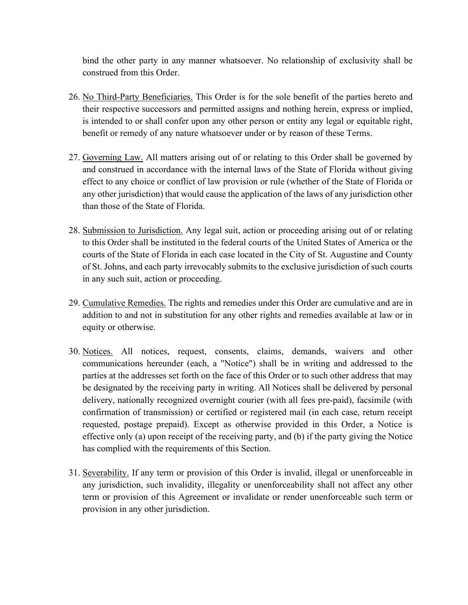bind the other party in any manner whatsoever. No relationship of exclusivity shall be construed from this Order.

- 26. No Third-Party Beneficiaries. This Order is for the sole benefit of the parties hereto and their respective successors and permitted assigns and nothing herein, express or implied, is intended to or shall confer upon any other person or entity any legal or equitable right, benefit or remedy of any nature whatsoever under or by reason of these Terms.
- 27. Governing Law. All matters arising out of or relating to this Order shall be governed by and construed in accordance with the internal laws of the State of Florida without giving effect to any choice or conflict of law provision or rule (whether of the State of Florida or any other jurisdiction) that would cause the application of the laws of any jurisdiction other than those of the State of Florida.
- 28. Submission to Jurisdiction. Any legal suit, action or proceeding arising out of or relating to this Order shall be instituted in the federal courts of the United States of America or the courts of the State of Florida in each case located in the City of St. Augustine and County of St. Johns, and each party irrevocably submits to the exclusive jurisdiction of such courts in any such suit, action or proceeding.
- 29. Cumulative Remedies. The rights and remedies under this Order are cumulative and are in addition to and not in substitution for any other rights and remedies available at law or in equity or otherwise.
- 30. Notices. All notices, request, consents, claims, demands, waivers and other communications hereunder (each, a "Notice") shall be in writing and addressed to the parties at the addresses set forth on the face of this Order or to such other address that may be designated by the receiving party in writing. All Notices shall be delivered by personal delivery, nationally recognized overnight courier (with all fees pre-paid), facsimile (with confirmation of transmission) or certified or registered mail (in each case, return receipt requested, postage prepaid). Except as otherwise provided in this Order, a Notice is effective only (a) upon receipt of the receiving party, and (b) if the party giving the Notice has complied with the requirements of this Section.
- 31. Severability. If any term or provision of this Order is invalid, illegal or unenforceable in any jurisdiction, such invalidity, illegality or unenforceability shall not affect any other term or provision of this Agreement or invalidate or render unenforceable such term or provision in any other jurisdiction.